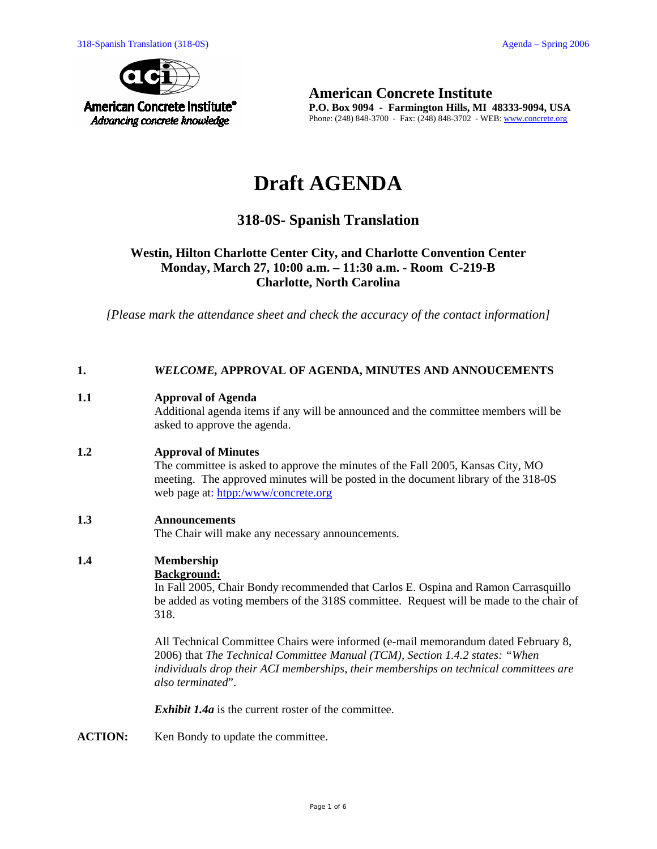

**American Concrete Institute P.O. Box 9094 - Farmington Hills, MI 48333-9094, USA**  Phone: (248) 848-3700 - Fax: (248) 848-3702 - WEB: www.concrete.org

# **Draft AGENDA**

# **318-0S- Spanish Translation**

# **Westin, Hilton Charlotte Center City, and Charlotte Convention Center Monday, March 27, 10:00 a.m. – 11:30 a.m. - Room C-219-B Charlotte, North Carolina**

*[Please mark the attendance sheet and check the accuracy of the contact information]* 

#### **1.** *WELCOME,* **APPROVAL OF AGENDA, MINUTES AND ANNOUCEMENTS**

#### **1.1 Approval of Agenda**

Additional agenda items if any will be announced and the committee members will be asked to approve the agenda.

#### **1.2 Approval of Minutes**

The committee is asked to approve the minutes of the Fall 2005, Kansas City, MO meeting. The approved minutes will be posted in the document library of the 318-0S web page at: htpp:/www/concrete.org

#### **1.3 Announcements**

The Chair will make any necessary announcements.

# **1.4 Membership**

# **Background:**

In Fall 2005, Chair Bondy recommended that Carlos E. Ospina and Ramon Carrasquillo be added as voting members of the 318S committee. Request will be made to the chair of 318.

All Technical Committee Chairs were informed (e-mail memorandum dated February 8, 2006) that *The Technical Committee Manual (TCM), Section 1.4.2 states: "When individuals drop their ACI memberships, their memberships on technical committees are also terminated*".

*Exhibit 1.4a* is the current roster of the committee.

ACTION: Ken Bondy to update the committee.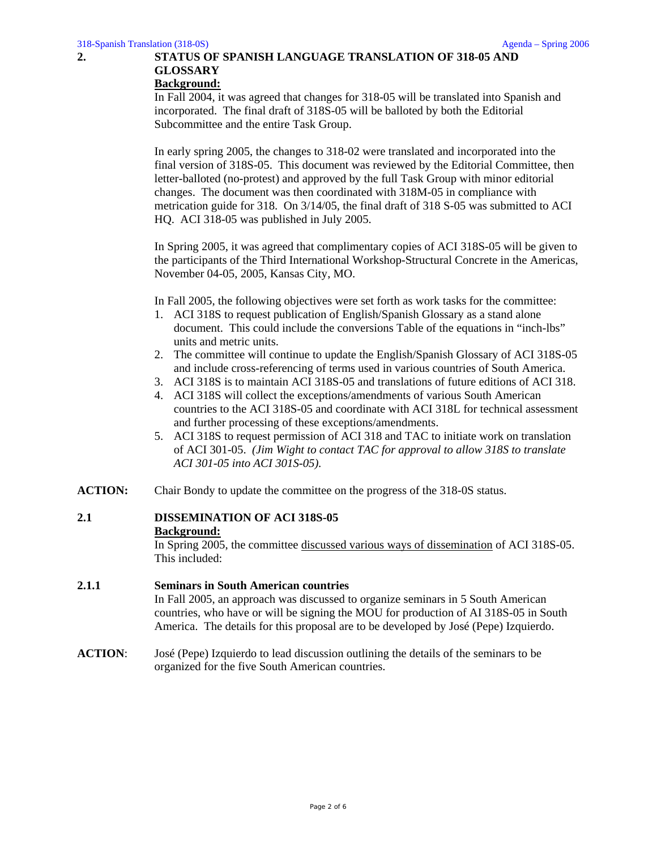# **2. STATUS OF SPANISH LANGUAGE TRANSLATION OF 318-05 AND GLOSSARY**

#### **Background:**

In Fall 2004, it was agreed that changes for 318-05 will be translated into Spanish and incorporated. The final draft of 318S-05 will be balloted by both the Editorial Subcommittee and the entire Task Group.

In early spring 2005, the changes to 318-02 were translated and incorporated into the final version of 318S-05. This document was reviewed by the Editorial Committee, then letter-balloted (no-protest) and approved by the full Task Group with minor editorial changes. The document was then coordinated with 318M-05 in compliance with metrication guide for 318. On 3/14/05, the final draft of 318 S-05 was submitted to ACI HQ. ACI 318-05 was published in July 2005.

In Spring 2005, it was agreed that complimentary copies of ACI 318S-05 will be given to the participants of the Third International Workshop-Structural Concrete in the Americas, November 04-05, 2005, Kansas City, MO.

In Fall 2005, the following objectives were set forth as work tasks for the committee:

- 1. ACI 318S to request publication of English/Spanish Glossary as a stand alone document. This could include the conversions Table of the equations in "inch-lbs" units and metric units.
- 2. The committee will continue to update the English/Spanish Glossary of ACI 318S-05 and include cross-referencing of terms used in various countries of South America.
- 3. ACI 318S is to maintain ACI 318S-05 and translations of future editions of ACI 318.
- 4. ACI 318S will collect the exceptions/amendments of various South American countries to the ACI 318S-05 and coordinate with ACI 318L for technical assessment and further processing of these exceptions/amendments.
- 5. ACI 318S to request permission of ACI 318 and TAC to initiate work on translation of ACI 301-05. *(Jim Wight to contact TAC for approval to allow 318S to translate ACI 301-05 into ACI 301S-05).*
- **ACTION:** Chair Bondy to update the committee on the progress of the 318-0S status.

# **2.1 DISSEMINATION OF ACI 318S-05 Background:**

In Spring 2005, the committee discussed various ways of dissemination of ACI 318S-05. This included:

#### **2.1.1 Seminars in South American countries**  In Fall 2005, an approach was discussed to organize seminars in 5 South American countries, who have or will be signing the MOU for production of AI 318S-05 in South America. The details for this proposal are to be developed by José (Pepe) Izquierdo.

**ACTION**: José (Pepe) Izquierdo to lead discussion outlining the details of the seminars to be organized for the five South American countries.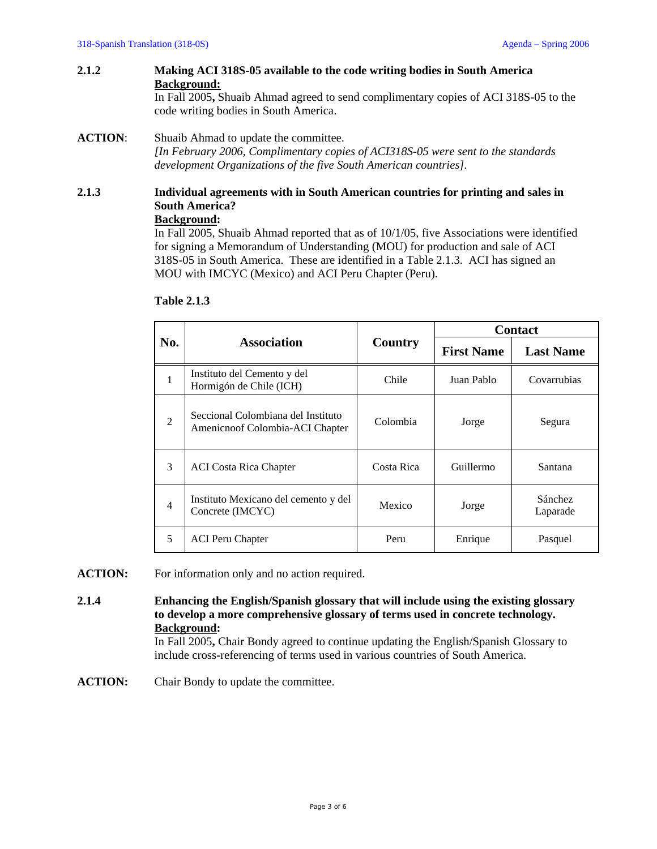#### **2.1.2 Making ACI 318S-05 available to the code writing bodies in South America Background:**

In Fall 2005**,** Shuaib Ahmad agreed to send complimentary copies of ACI 318S-05 to the code writing bodies in South America.

# **ACTION**: Shuaib Ahmad to update the committee.

*[In February 2006, Complimentary copies of ACI318S-05 were sent to the standards development Organizations of the five South American countries].* 

# **2.1.3 Individual agreements with in South American countries for printing and sales in South America?**

# **Background:**

In Fall 2005, Shuaib Ahmad reported that as of 10/1/05, five Associations were identified for signing a Memorandum of Understanding (MOU) for production and sale of ACI 318S-05 in South America. These are identified in a Table 2.1.3. ACI has signed an MOU with IMCYC (Mexico) and ACI Peru Chapter (Peru).

| No.            | <b>Association</b>                                                    | Country    | <b>Contact</b>    |                     |
|----------------|-----------------------------------------------------------------------|------------|-------------------|---------------------|
|                |                                                                       |            | <b>First Name</b> | <b>Last Name</b>    |
| 1              | Instituto del Cemento y del<br>Hormigón de Chile (ICH)                | Chile      | Juan Pablo        | Covarrubias         |
| $\overline{2}$ | Seccional Colombiana del Instituto<br>Amenicnoof Colombia-ACI Chapter | Colombia   | Jorge             | Segura              |
| 3              | <b>ACI</b> Costa Rica Chapter                                         | Costa Rica | Guillermo         | Santana             |
| $\overline{4}$ | Instituto Mexicano del cemento y del<br>Concrete (IMCYC)              | Mexico     | Jorge             | Sánchez<br>Laparade |
| 5              | <b>ACI</b> Peru Chapter                                               | Peru       | Enrique           | Pasquel             |

# **Table 2.1.3**

**ACTION:** For information only and no action required.

**2.1.4 Enhancing the English/Spanish glossary that will include using the existing glossary to develop a more comprehensive glossary of terms used in concrete technology. Background:** 

In Fall 2005**,** Chair Bondy agreed to continue updating the English/Spanish Glossary to include cross-referencing of terms used in various countries of South America.

**ACTION:** Chair Bondy to update the committee.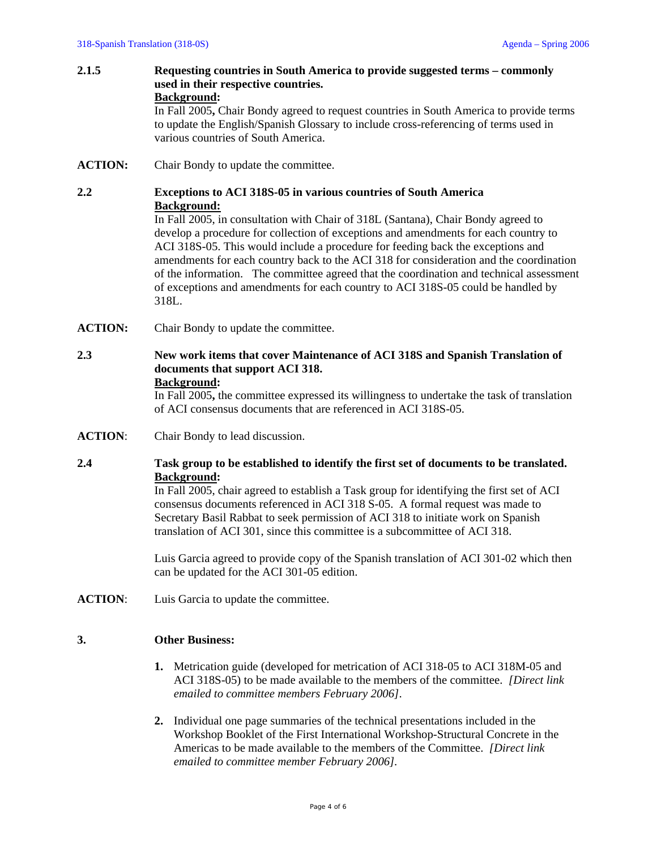- **2.1.5 Requesting countries in South America to provide suggested terms commonly used in their respective countries. Background:**  In Fall 2005**,** Chair Bondy agreed to request countries in South America to provide terms to update the English/Spanish Glossary to include cross-referencing of terms used in
- **ACTION:** Chair Bondy to update the committee.

various countries of South America.

# **2.2 Exceptions to ACI 318S-05 in various countries of South America Background:**

In Fall 2005, in consultation with Chair of 318L (Santana), Chair Bondy agreed to develop a procedure for collection of exceptions and amendments for each country to ACI 318S-05. This would include a procedure for feeding back the exceptions and amendments for each country back to the ACI 318 for consideration and the coordination of the information. The committee agreed that the coordination and technical assessment of exceptions and amendments for each country to ACI 318S-05 could be handled by 318L.

**ACTION:** Chair Bondy to update the committee.

#### **2.3 New work items that cover Maintenance of ACI 318S and Spanish Translation of documents that support ACI 318. Background:**

In Fall 2005**,** the committee expressed its willingness to undertake the task of translation of ACI consensus documents that are referenced in ACI 318S-05.

**ACTION**: Chair Bondy to lead discussion.

# **2.4 Task group to be established to identify the first set of documents to be translated. Background:**

In Fall 2005, chair agreed to establish a Task group for identifying the first set of ACI consensus documents referenced in ACI 318 S-05. A formal request was made to Secretary Basil Rabbat to seek permission of ACI 318 to initiate work on Spanish translation of ACI 301, since this committee is a subcommittee of ACI 318.

Luis Garcia agreed to provide copy of the Spanish translation of ACI 301-02 which then can be updated for the ACI 301-05 edition.

**ACTION**: Luis Garcia to update the committee.

#### **3. Other Business:**

- **1.** Metrication guide (developed for metrication of ACI 318-05 to ACI 318M-05 and ACI 318S-05) to be made available to the members of the committee. *[Direct link emailed to committee members February 2006]*.
- **2.** Individual one page summaries of the technical presentations included in the Workshop Booklet of the First International Workshop-Structural Concrete in the Americas to be made available to the members of the Committee. *[Direct link emailed to committee member February 2006].*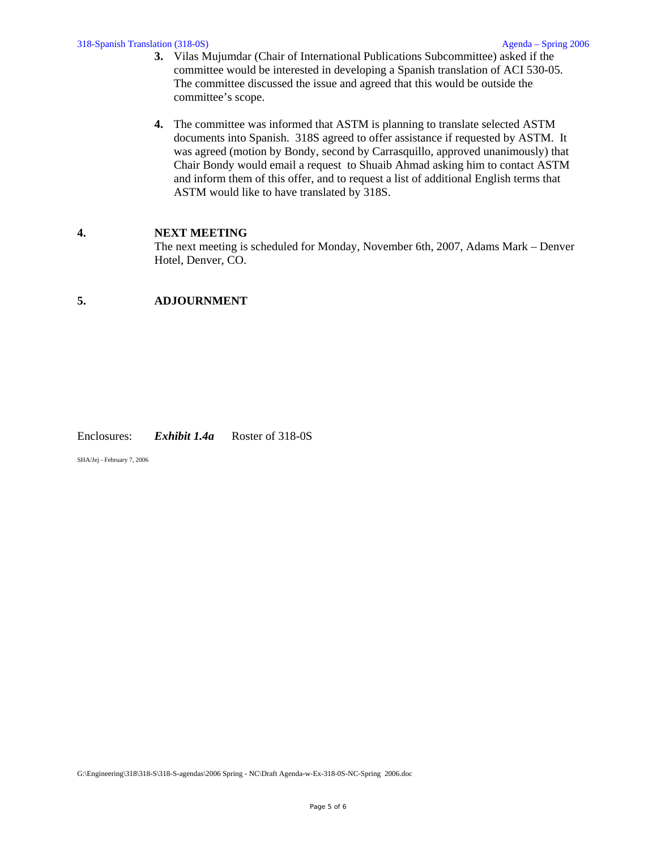- **3.** Vilas Mujumdar (Chair of International Publications Subcommittee) asked if the committee would be interested in developing a Spanish translation of ACI 530-05. The committee discussed the issue and agreed that this would be outside the committee's scope.
- **4.** The committee was informed that ASTM is planning to translate selected ASTM documents into Spanish. 318S agreed to offer assistance if requested by ASTM. It was agreed (motion by Bondy, second by Carrasquillo, approved unanimously) that Chair Bondy would email a request to Shuaib Ahmad asking him to contact ASTM and inform them of this offer, and to request a list of additional English terms that ASTM would like to have translated by 318S.

#### **4. NEXT MEETING**

The next meeting is scheduled for Monday, November 6th, 2007, Adams Mark – Denver Hotel, Denver, CO.

# **5. ADJOURNMENT**

#### Enclosures: *Exhibit 1.4a* Roster of 318-0S

SHA/Jej - February 7, 2006

G:\Engineering\318\318-S\318-S-agendas\2006 Spring - NC\Draft Agenda-w-Ex-318-0S-NC-Spring 2006.doc